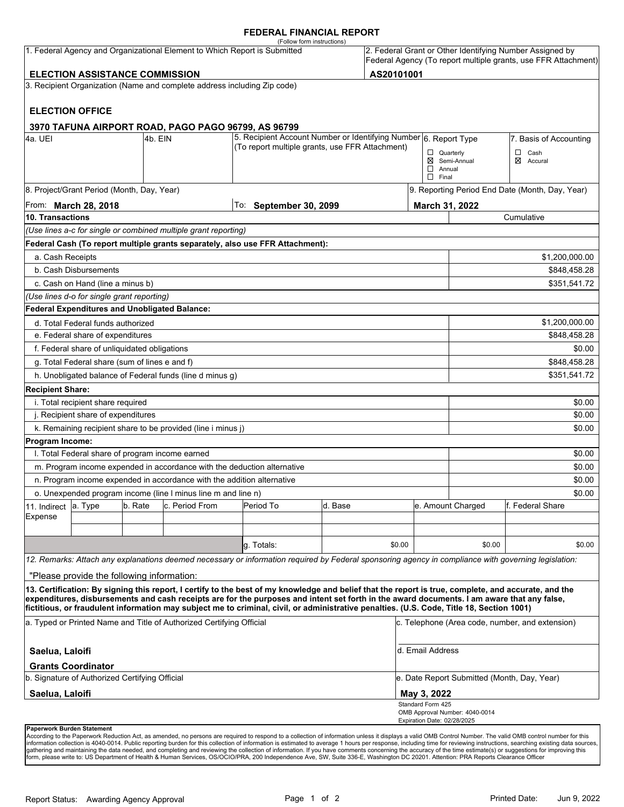#### **FEDERAL FINANCIAL REPORT**

|                                                                                                                                                                                                                   |                                                               |         | 1. Federal Agency and Organizational Element to Which Report is Submitted | (Follow form instructions)                                                                                                                                                                                                                                                                         |         |        |                                                                |                                                  | 2. Federal Grant or Other Identifying Number Assigned by |  |
|-------------------------------------------------------------------------------------------------------------------------------------------------------------------------------------------------------------------|---------------------------------------------------------------|---------|---------------------------------------------------------------------------|----------------------------------------------------------------------------------------------------------------------------------------------------------------------------------------------------------------------------------------------------------------------------------------------------|---------|--------|----------------------------------------------------------------|--------------------------------------------------|----------------------------------------------------------|--|
| <b>ELECTION ASSISTANCE COMMISSION</b>                                                                                                                                                                             |                                                               |         |                                                                           |                                                                                                                                                                                                                                                                                                    |         |        | Federal Agency (To report multiple grants, use FFR Attachment) |                                                  |                                                          |  |
| AS20101001<br>3. Recipient Organization (Name and complete address including Zip code)                                                                                                                            |                                                               |         |                                                                           |                                                                                                                                                                                                                                                                                                    |         |        |                                                                |                                                  |                                                          |  |
|                                                                                                                                                                                                                   |                                                               |         |                                                                           |                                                                                                                                                                                                                                                                                                    |         |        |                                                                |                                                  |                                                          |  |
|                                                                                                                                                                                                                   | <b>ELECTION OFFICE</b>                                        |         |                                                                           |                                                                                                                                                                                                                                                                                                    |         |        |                                                                |                                                  |                                                          |  |
|                                                                                                                                                                                                                   |                                                               |         | 3970 TAFUNA AIRPORT ROAD, PAGO PAGO 96799, AS 96799                       | 5. Recipient Account Number or Identifying Number 6. Report Type                                                                                                                                                                                                                                   |         |        |                                                                |                                                  |                                                          |  |
| l4a. UEI                                                                                                                                                                                                          |                                                               | 4b. EIN |                                                                           | (To report multiple grants, use FFR Attachment)                                                                                                                                                                                                                                                    |         |        |                                                                |                                                  | 7. Basis of Accounting                                   |  |
|                                                                                                                                                                                                                   |                                                               |         |                                                                           |                                                                                                                                                                                                                                                                                                    |         |        | $\Box$ Quarterly<br>$\Box$ Annual<br>$\Box$ Final              | ⊠ Semi-Annual                                    | $\Box$ Cash<br>⊠<br>Accural                              |  |
| 8. Project/Grant Period (Month, Day, Year)                                                                                                                                                                        |                                                               |         |                                                                           |                                                                                                                                                                                                                                                                                                    |         |        |                                                                | 9. Reporting Period End Date (Month, Day, Year)  |                                                          |  |
| From: <b>March 28, 2018</b>                                                                                                                                                                                       |                                                               |         |                                                                           | To: September 30, 2099                                                                                                                                                                                                                                                                             |         |        |                                                                | March 31, 2022                                   |                                                          |  |
| 10. Transactions                                                                                                                                                                                                  |                                                               |         |                                                                           |                                                                                                                                                                                                                                                                                                    |         |        |                                                                | Cumulative                                       |                                                          |  |
|                                                                                                                                                                                                                   |                                                               |         | (Use lines a-c for single or combined multiple grant reporting)           |                                                                                                                                                                                                                                                                                                    |         |        |                                                                |                                                  |                                                          |  |
|                                                                                                                                                                                                                   |                                                               |         |                                                                           | Federal Cash (To report multiple grants separately, also use FFR Attachment):                                                                                                                                                                                                                      |         |        |                                                                |                                                  |                                                          |  |
| a. Cash Receipts                                                                                                                                                                                                  |                                                               |         |                                                                           |                                                                                                                                                                                                                                                                                                    |         |        |                                                                |                                                  | \$1,200,000.00                                           |  |
|                                                                                                                                                                                                                   | b. Cash Disbursements                                         |         |                                                                           |                                                                                                                                                                                                                                                                                                    |         |        |                                                                | \$848,458.28                                     |                                                          |  |
|                                                                                                                                                                                                                   | c. Cash on Hand (line a minus b)                              |         |                                                                           |                                                                                                                                                                                                                                                                                                    |         |        |                                                                |                                                  | \$351,541.72                                             |  |
|                                                                                                                                                                                                                   | (Use lines d-o for single grant reporting)                    |         |                                                                           |                                                                                                                                                                                                                                                                                                    |         |        |                                                                |                                                  |                                                          |  |
|                                                                                                                                                                                                                   | <b>Federal Expenditures and Unobligated Balance:</b>          |         |                                                                           |                                                                                                                                                                                                                                                                                                    |         |        |                                                                |                                                  |                                                          |  |
|                                                                                                                                                                                                                   | d. Total Federal funds authorized                             |         |                                                                           |                                                                                                                                                                                                                                                                                                    |         |        |                                                                |                                                  | \$1,200,000.00                                           |  |
| e. Federal share of expenditures                                                                                                                                                                                  |                                                               |         |                                                                           |                                                                                                                                                                                                                                                                                                    |         |        |                                                                |                                                  | \$848,458.28                                             |  |
| f. Federal share of unliquidated obligations                                                                                                                                                                      |                                                               |         |                                                                           |                                                                                                                                                                                                                                                                                                    |         |        |                                                                |                                                  | \$0.00                                                   |  |
|                                                                                                                                                                                                                   | \$848,458.28<br>g. Total Federal share (sum of lines e and f) |         |                                                                           |                                                                                                                                                                                                                                                                                                    |         |        |                                                                |                                                  |                                                          |  |
|                                                                                                                                                                                                                   |                                                               |         | h. Unobligated balance of Federal funds (line d minus g)                  |                                                                                                                                                                                                                                                                                                    |         |        |                                                                |                                                  | \$351,541.72                                             |  |
| <b>Recipient Share:</b>                                                                                                                                                                                           |                                                               |         |                                                                           |                                                                                                                                                                                                                                                                                                    |         |        |                                                                |                                                  |                                                          |  |
| i. Total recipient share required<br>\$0.00                                                                                                                                                                       |                                                               |         |                                                                           |                                                                                                                                                                                                                                                                                                    |         |        |                                                                |                                                  |                                                          |  |
| j. Recipient share of expenditures                                                                                                                                                                                |                                                               |         |                                                                           |                                                                                                                                                                                                                                                                                                    |         |        |                                                                | \$0.00                                           |                                                          |  |
| k. Remaining recipient share to be provided (line i minus j)<br>\$0.00                                                                                                                                            |                                                               |         |                                                                           |                                                                                                                                                                                                                                                                                                    |         |        |                                                                |                                                  |                                                          |  |
| <b>Program Income:</b>                                                                                                                                                                                            |                                                               |         |                                                                           |                                                                                                                                                                                                                                                                                                    |         |        |                                                                |                                                  |                                                          |  |
|                                                                                                                                                                                                                   | I. Total Federal share of program income earned               |         |                                                                           |                                                                                                                                                                                                                                                                                                    |         |        |                                                                |                                                  | \$0.00                                                   |  |
|                                                                                                                                                                                                                   |                                                               |         | m. Program income expended in accordance with the deduction alternative   |                                                                                                                                                                                                                                                                                                    |         |        |                                                                |                                                  | \$0.00                                                   |  |
|                                                                                                                                                                                                                   |                                                               |         | n. Program income expended in accordance with the addition alternative    |                                                                                                                                                                                                                                                                                                    |         |        |                                                                |                                                  | \$0.00                                                   |  |
| o. Unexpended program income (line I minus line m and line n)                                                                                                                                                     |                                                               |         |                                                                           |                                                                                                                                                                                                                                                                                                    |         |        |                                                                | \$0.00<br>e. Amount Charged<br>lf. Federal Share |                                                          |  |
| 11. Indirect<br>Expense                                                                                                                                                                                           | a. Type                                                       | b. Rate | c. Period From                                                            | Period To                                                                                                                                                                                                                                                                                          | d. Base |        |                                                                |                                                  |                                                          |  |
|                                                                                                                                                                                                                   |                                                               |         |                                                                           |                                                                                                                                                                                                                                                                                                    |         |        |                                                                |                                                  |                                                          |  |
|                                                                                                                                                                                                                   |                                                               |         |                                                                           | g. Totals:                                                                                                                                                                                                                                                                                         |         | \$0.00 |                                                                | \$0.00                                           | \$0.00                                                   |  |
|                                                                                                                                                                                                                   |                                                               |         |                                                                           |                                                                                                                                                                                                                                                                                                    |         |        |                                                                |                                                  |                                                          |  |
|                                                                                                                                                                                                                   |                                                               |         |                                                                           | 12. Remarks: Attach any explanations deemed necessary or information required by Federal sponsoring agency in compliance with governing legislation:                                                                                                                                               |         |        |                                                                |                                                  |                                                          |  |
|                                                                                                                                                                                                                   | "Please provide the following information:                    |         |                                                                           |                                                                                                                                                                                                                                                                                                    |         |        |                                                                |                                                  |                                                          |  |
|                                                                                                                                                                                                                   |                                                               |         |                                                                           | 13. Certification: By signing this report, I certify to the best of my knowledge and belief that the report is true, complete, and accurate, and the<br>expenditures, disbursements and cash receipts are for the purposes and intent set forth in the award documents. I am aware that any false, |         |        |                                                                |                                                  |                                                          |  |
| fictitious, or fraudulent information may subject me to criminal, civil, or administrative penalties. (U.S. Code, Title 18, Section 1001)<br>a. Typed or Printed Name and Title of Authorized Certifying Official |                                                               |         |                                                                           |                                                                                                                                                                                                                                                                                                    |         |        | c. Telephone (Area code, number, and extension)                |                                                  |                                                          |  |
| Saelua, Laloifi                                                                                                                                                                                                   |                                                               |         |                                                                           |                                                                                                                                                                                                                                                                                                    |         |        | d. Email Address                                               |                                                  |                                                          |  |
|                                                                                                                                                                                                                   | <b>Grants Coordinator</b>                                     |         |                                                                           |                                                                                                                                                                                                                                                                                                    |         |        |                                                                |                                                  |                                                          |  |
| b. Signature of Authorized Certifying Official                                                                                                                                                                    |                                                               |         |                                                                           |                                                                                                                                                                                                                                                                                                    |         |        | e. Date Report Submitted (Month, Day, Year)                    |                                                  |                                                          |  |
| Saelua, Laloifi                                                                                                                                                                                                   |                                                               |         |                                                                           |                                                                                                                                                                                                                                                                                                    |         |        | May 3, 2022                                                    |                                                  |                                                          |  |
|                                                                                                                                                                                                                   |                                                               |         |                                                                           |                                                                                                                                                                                                                                                                                                    |         |        | Standard Form 425<br>Expiration Date: 02/28/2025               | OMB Approval Number: 4040-0014                   |                                                          |  |
|                                                                                                                                                                                                                   | Paperwork Burden Statement                                    |         |                                                                           |                                                                                                                                                                                                                                                                                                    |         |        |                                                                |                                                  |                                                          |  |

According to the Paperwork Reduction Act, as amended, no persons are required to respond to a collection of information unless it displays a valid OMB Control Number. The valid OMB control number for this<br>information colle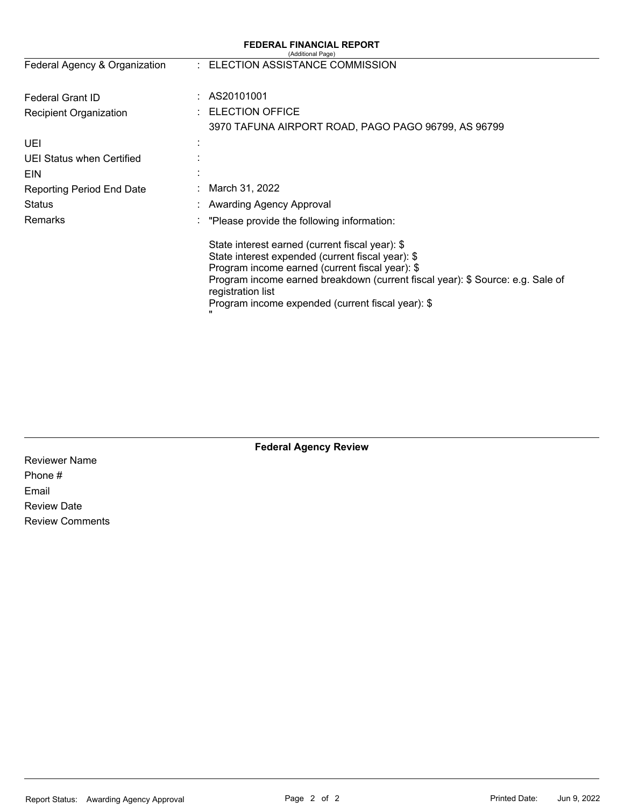| <b>FEDERAL FINANCIAL REPORT</b><br>(Additional Page) |  |                                                                                                                                                                                                                                                                                                                     |  |  |  |
|------------------------------------------------------|--|---------------------------------------------------------------------------------------------------------------------------------------------------------------------------------------------------------------------------------------------------------------------------------------------------------------------|--|--|--|
| Federal Agency & Organization                        |  | : ELECTION ASSISTANCE COMMISSION                                                                                                                                                                                                                                                                                    |  |  |  |
| <b>Federal Grant ID</b>                              |  | AS20101001                                                                                                                                                                                                                                                                                                          |  |  |  |
| <b>Recipient Organization</b>                        |  | <b>ELECTION OFFICE</b>                                                                                                                                                                                                                                                                                              |  |  |  |
|                                                      |  | 3970 TAFUNA AIRPORT ROAD, PAGO PAGO 96799, AS 96799                                                                                                                                                                                                                                                                 |  |  |  |
| UEI                                                  |  |                                                                                                                                                                                                                                                                                                                     |  |  |  |
| <b>UEI Status when Certified</b>                     |  |                                                                                                                                                                                                                                                                                                                     |  |  |  |
| EIN                                                  |  |                                                                                                                                                                                                                                                                                                                     |  |  |  |
| <b>Reporting Period End Date</b>                     |  | March 31, 2022                                                                                                                                                                                                                                                                                                      |  |  |  |
| <b>Status</b>                                        |  | Awarding Agency Approval                                                                                                                                                                                                                                                                                            |  |  |  |
| Remarks                                              |  | "Please provide the following information:                                                                                                                                                                                                                                                                          |  |  |  |
|                                                      |  | State interest earned (current fiscal year): \$<br>State interest expended (current fiscal year): \$<br>Program income earned (current fiscal year): \$<br>Program income earned breakdown (current fiscal year): \$ Source: e.g. Sale of<br>registration list<br>Program income expended (current fiscal year): \$ |  |  |  |

Reviewer Name Phone # Email Review Date Review Comments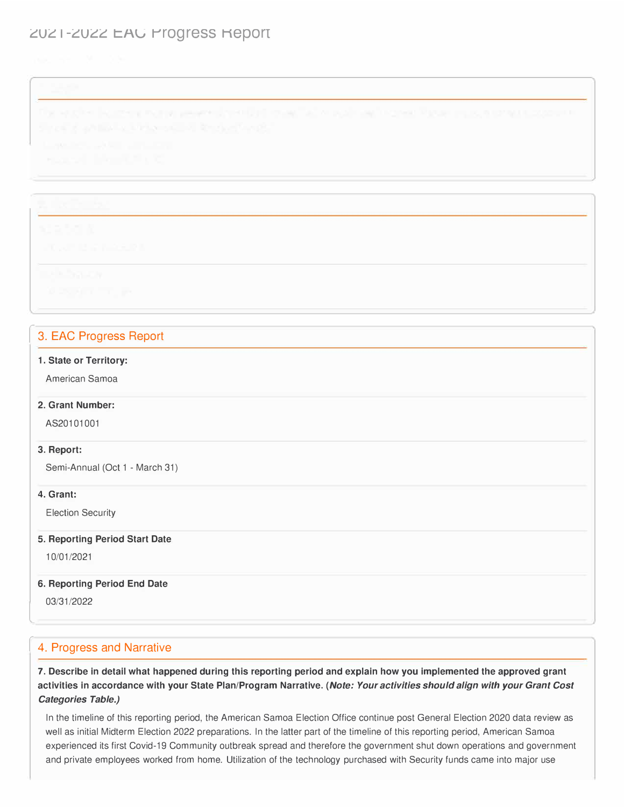# ZUZ I-ZUZZ EAU Progress Report

# 3. EAC Progress Report

#### **1. State or Territory:**

American Samoa

#### **2. Grant Number:**

AS20101001

#### **3. Report:**

Semi-Annual (Oct 1 - March 31)

### **4. Grant:**

Election Security

#### **5. Reporting Period Start Date**

10/01/2021

### **6. Reporting Period End Date**

03/31/2022

l

# 4. Progress and Narrative

**7. Describe in detail what happened during this reporting period and explain how you implemented the approved grant activities in accordance with your State Plan/Program Narrative.** *(Note: Your activities should align with your Grant Cost Categories Table.)* 

In the timeline of this reporting period, the American Samoa Election Office continue post General Election 2020 data review as well as initial Midterm Election 2022 preparations. In the latter part of the timeline of this reporting period, American Samoa experienced its first Covid-19 Community outbreak spread and therefore the government shut down operations and government and private employees worked from home. Utilization of the technology purchased with Security funds came into major use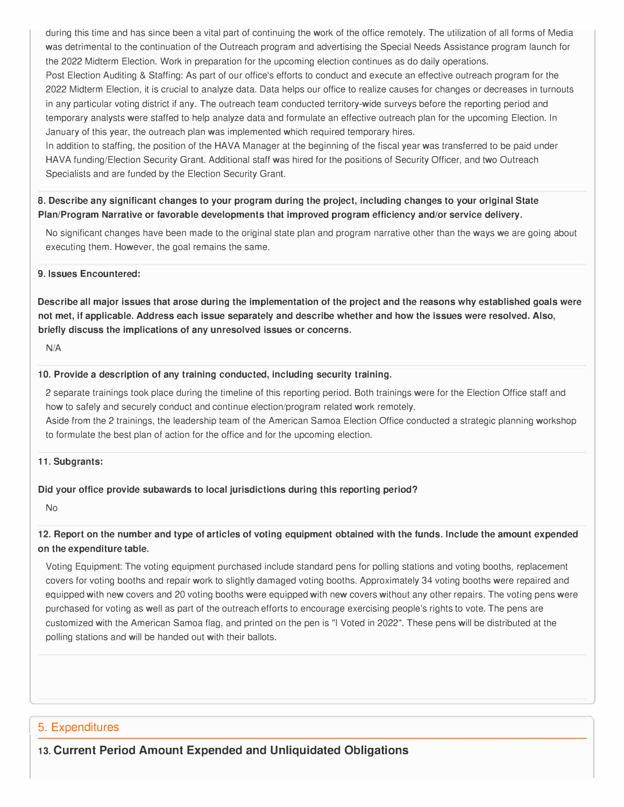during this time and has since been a vital part of continuing the work of the office remotely. The utilization of all forms of Media was detrimental to the continuation of the Outreach program and advertising the Special Needs Assistance program launch for the 2022 Midterm Election. Work in preparation for the upcoming election continues as do daily operations.

Post Election Auditing & Staffing: As part of our office's efforts to conduct and execute an effective outreach program for the 2022 Midterm Election, it is crucial to analyze data. Data helps our office to realize causes for changes or decreases in turnouts in any particular voting district if any. The outreach team conducted territory-wide surveys before the reporting period and temporary analysts were staffed to help analyze data and formulate an effective outreach plan for the upcoming Election. In January of this year, the outreach plan was implemented which required temporary hires.

In addition to staffing, the position of the HAVA Manager at the beginning of the fiscal year was transferred to be paid under HAVA funding/Election Security Grant. Additional staff was hired for the positions of Security Officer, and two Outreach Specialists and are funded by the Election Security Grant.

## **8. Describe any significant changes to your program during the project, including changes to your original State Plan/Program Narrative or favorable developments that improved program efficiency and/or service delivery.**

No significant changes have been made to the original state plan and program narrative other than the ways we are going about executing them. However, the goal remains the same.

#### **9. Issues Encountered:**

**Describe all major issues that arose during the implementation of the project and the reasons why established goals were not met, if applicable. Address each issue separately and describe whether and how the issues were resolved. Also, briefly discuss the implications of any unresolved issues or concerns.** 

N/A

#### **10. Provide a description of any training conducted, including security training.**

2 separate trainings took place during the timeline of this reporting period. Both trainings were for the Election Office staff and how to safely and securely conduct and continue election/program related work remotely.

Aside from the 2 trainings, the leadership team of the American Samoa Election Office conducted a strategic planning workshop to formulate the best plan of action for the office and for the upcoming election.

#### **11. Subgrants:**

### **Did your office provide subawards to local jurisdictions during this reporting period?**

No

## **12. Report on the number and type of articles of voting equipment obtained with the funds. Include the amount expended on the expenditure table.**

Voting Equipment: The voting equipment purchased include standard pens for polling stations and voting booths, replacement covers for voting booths and repair work to slightly damaged voting booths. Approximately 34 voting booths were repaired and equipped with new covers and 20 voting booths were equipped with new covers without any other repairs. The voting pens were purchased for voting as well as part of the outreach efforts to encourage exercising people's rights to vote. The pens are customized with the American Samoa flag, and printed on the pen is "I Voted in 2022". These pens will be distributed at the polling stations and will be handed out with their ballots.

# 5. Expenditures

**13. Current Period Amount Expended and Unliquidated Obligations** I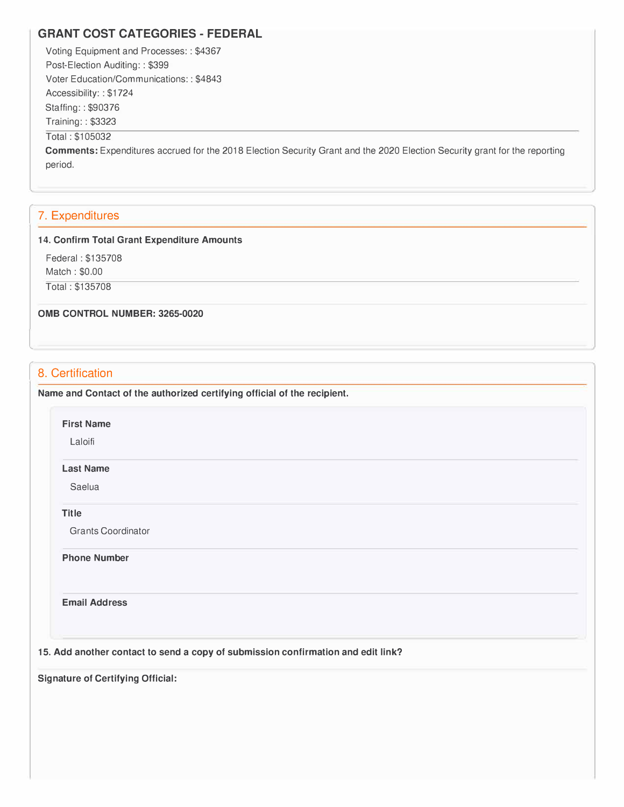# **GRANT COST CATEGORIES- FEDERAL**

Voting Equipment and Processes: : \$4367 Post-Election Auditing:: \$399 Voter Education/Communications: : \$4843 Accessibility: : \$1724 Staffing: : \$90376 Training: : \$3323 Total : \$105032

**Comments:** Expenditures accrued for the 2018 Election Security Grant and the 2020 Election Security grant for the reporting period.

 $\lambda$ 

# 7. Expenditures

#### **14. Confirm Total Grant Expenditure Amounts**

Federal : \$135708

Match : \$0.00

Total : \$135708

**0MB CONTROL NUMBER: 3265-0020** 

# 8. Certification

l

**Name and Contact of the authorized certifying official of the recipient.** 

**First Name** 

Laloifi

#### **Last Name**

Saelua

**Title**

Grants Coordinator

**Phone Number** 

**Email Address** 

**15. Add another contact to send a copy of submission confirmation and edit link?**

**Signature of Certifying Official:**